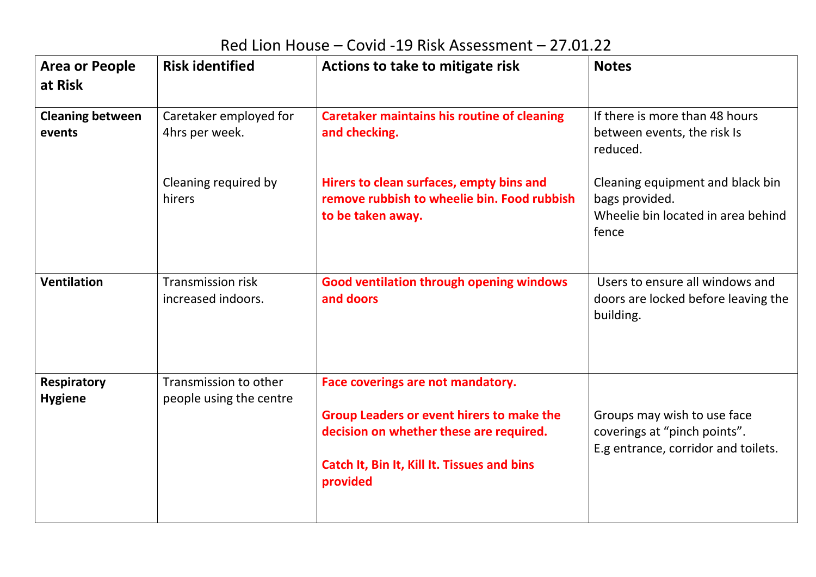## Red Lion House – Covid -19 Risk Assessment – 27.01.22

| <b>Area or People</b><br>at Risk     | <b>Risk identified</b>                           | Actions to take to mitigate risk                                                                             | <b>Notes</b>                                                                                       |
|--------------------------------------|--------------------------------------------------|--------------------------------------------------------------------------------------------------------------|----------------------------------------------------------------------------------------------------|
| <b>Cleaning between</b><br>events    | Caretaker employed for<br>4hrs per week.         | <b>Caretaker maintains his routine of cleaning</b><br>and checking.                                          | If there is more than 48 hours<br>between events, the risk Is<br>reduced.                          |
|                                      | Cleaning required by<br>hirers                   | Hirers to clean surfaces, empty bins and<br>remove rubbish to wheelie bin. Food rubbish<br>to be taken away. | Cleaning equipment and black bin<br>bags provided.<br>Wheelie bin located in area behind<br>fence  |
| <b>Ventilation</b>                   | <b>Transmission risk</b><br>increased indoors.   | <b>Good ventilation through opening windows</b><br>and doors                                                 | Users to ensure all windows and<br>doors are locked before leaving the<br>building.                |
| <b>Respiratory</b><br><b>Hygiene</b> | Transmission to other<br>people using the centre | Face coverings are not mandatory.                                                                            |                                                                                                    |
|                                      |                                                  | <b>Group Leaders or event hirers to make the</b><br>decision on whether these are required.                  | Groups may wish to use face<br>coverings at "pinch points".<br>E.g entrance, corridor and toilets. |
|                                      |                                                  | Catch It, Bin It, Kill It. Tissues and bins<br>provided                                                      |                                                                                                    |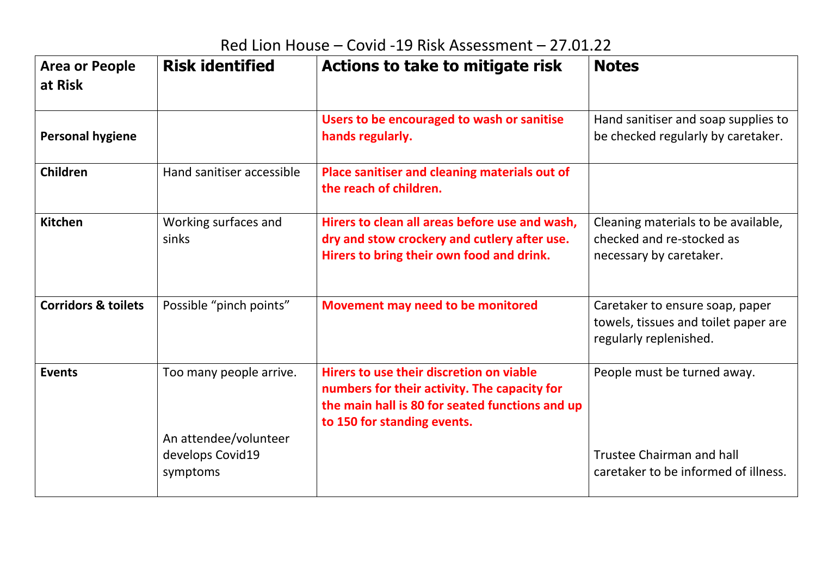## Red Lion House – Covid -19 Risk Assessment – 27.01.22

| <b>Area or People</b><br>at Risk | <b>Risk identified</b>                                | <b>Actions to take to mitigate risk</b>                                                                                                                                    | <b>Notes</b>                                                                                      |
|----------------------------------|-------------------------------------------------------|----------------------------------------------------------------------------------------------------------------------------------------------------------------------------|---------------------------------------------------------------------------------------------------|
| <b>Personal hygiene</b>          |                                                       | Users to be encouraged to wash or sanitise<br>hands regularly.                                                                                                             | Hand sanitiser and soap supplies to<br>be checked regularly by caretaker.                         |
| Children                         | Hand sanitiser accessible                             | Place sanitiser and cleaning materials out of<br>the reach of children.                                                                                                    |                                                                                                   |
| <b>Kitchen</b>                   | Working surfaces and<br>sinks                         | Hirers to clean all areas before use and wash,<br>dry and stow crockery and cutlery after use.<br>Hirers to bring their own food and drink.                                | Cleaning materials to be available,<br>checked and re-stocked as<br>necessary by caretaker.       |
| <b>Corridors &amp; toilets</b>   | Possible "pinch points"                               | Movement may need to be monitored                                                                                                                                          | Caretaker to ensure soap, paper<br>towels, tissues and toilet paper are<br>regularly replenished. |
| <b>Events</b>                    | Too many people arrive.                               | Hirers to use their discretion on viable<br>numbers for their activity. The capacity for<br>the main hall is 80 for seated functions and up<br>to 150 for standing events. | People must be turned away.                                                                       |
|                                  | An attendee/volunteer<br>develops Covid19<br>symptoms |                                                                                                                                                                            | <b>Trustee Chairman and hall</b><br>caretaker to be informed of illness.                          |